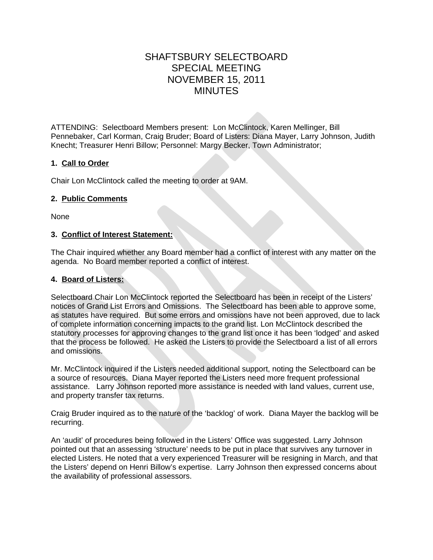# SHAFTSBURY SELECTBOARD SPECIAL MEETING NOVEMBER 15, 2011 MINUTES

ATTENDING: Selectboard Members present: Lon McClintock, Karen Mellinger, Bill Pennebaker, Carl Korman, Craig Bruder; Board of Listers: Diana Mayer, Larry Johnson, Judith Knecht; Treasurer Henri Billow; Personnel: Margy Becker, Town Administrator;

# **1. Call to Order**

Chair Lon McClintock called the meeting to order at 9AM.

### **2. Public Comments**

None

### **3. Conflict of Interest Statement:**

The Chair inquired whether any Board member had a conflict of interest with any matter on the agenda. No Board member reported a conflict of interest.

# **4. Board of Listers:**

Selectboard Chair Lon McClintock reported the Selectboard has been in receipt of the Listers' notices of Grand List Errors and Omissions. The Selectboard has been able to approve some, as statutes have required. But some errors and omissions have not been approved, due to lack of complete information concerning impacts to the grand list. Lon McClintock described the statutory processes for approving changes to the grand list once it has been 'lodged' and asked that the process be followed. He asked the Listers to provide the Selectboard a list of all errors and omissions.

Mr. McClintock inquired if the Listers needed additional support, noting the Selectboard can be a source of resources. Diana Mayer reported the Listers need more frequent professional assistance. Larry Johnson reported more assistance is needed with land values, current use, and property transfer tax returns.

Craig Bruder inquired as to the nature of the 'backlog' of work. Diana Mayer the backlog will be recurring.

An 'audit' of procedures being followed in the Listers' Office was suggested. Larry Johnson pointed out that an assessing 'structure' needs to be put in place that survives any turnover in elected Listers. He noted that a very experienced Treasurer will be resigning in March, and that the Listers' depend on Henri Billow's expertise. Larry Johnson then expressed concerns about the availability of professional assessors.